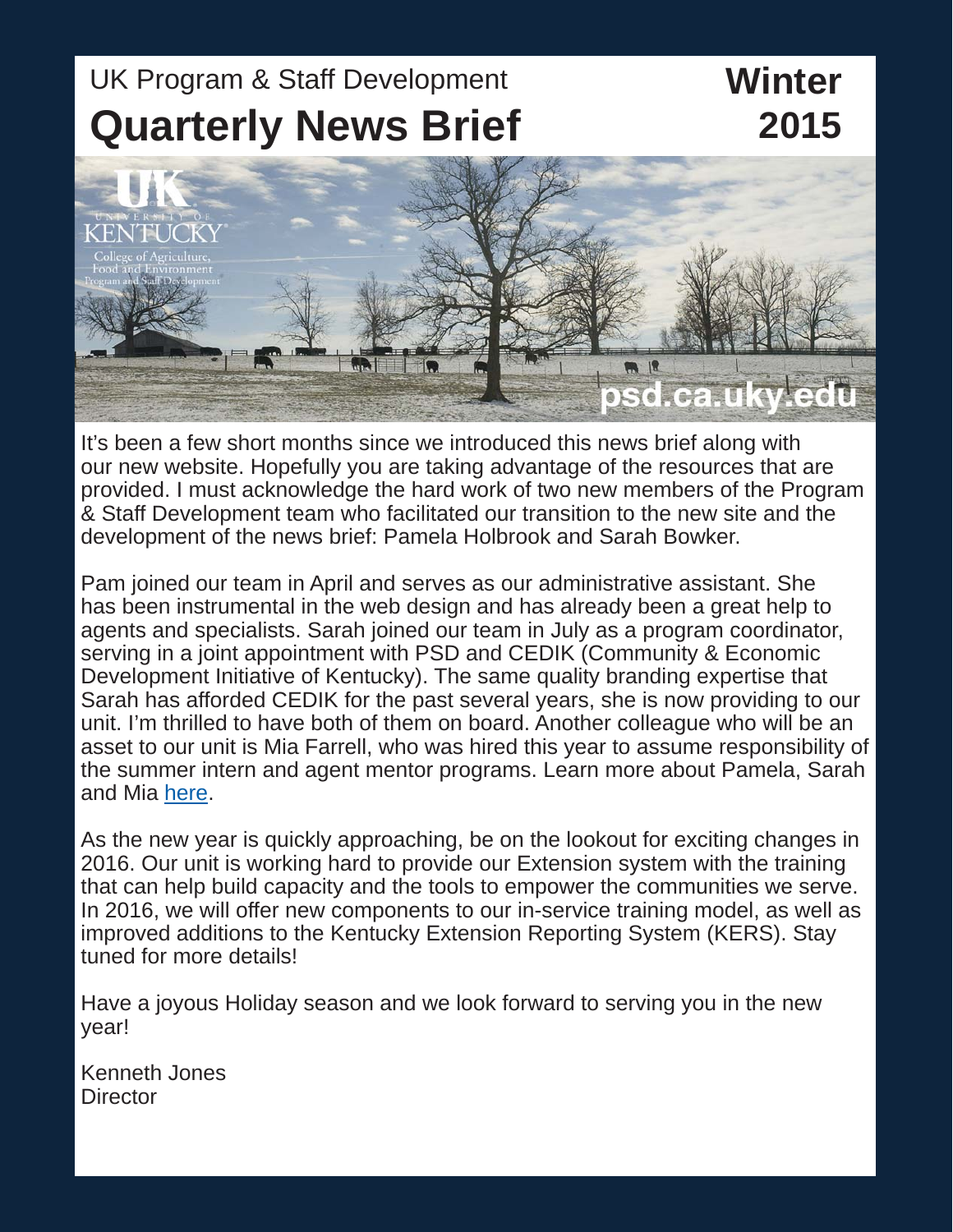# UK Program & Staff Development **Quarterly News Brief**

## **Winter 2015**



It's been a few short months since we introduced this news brief along with our new website. Hopefully you are taking advantage of the resources that are provided. I must acknowledge the hard work of two new members of the Program & Staff Development team who facilitated our transition to the new site and the development of the news brief: Pamela Holbrook and Sarah Bowker.

Pam joined our team in April and serves as our administrative assistant. She has been instrumental in the web design and has already been a great help to agents and specialists. Sarah joined our team in July as a program coordinator, serving in a joint appointment with PSD and CEDIK (Community & Economic Development Initiative of Kentucky). The same quality branding expertise that Sarah has afforded CEDIK for the past several years, she is now providing to our unit. I'm thrilled to have both of them on board. Another colleague who will be an asset to our unit is Mia Farrell, who was hired this year to assume responsibility of the summer intern and agent mentor programs. Learn more about Pamela, Sarah and Mia [here.](http://psd.ca.uky.edu/files/new_psd_staff.pdf)

As the new year is quickly approaching, be on the lookout for exciting changes in 2016. Our unit is working hard to provide our Extension system with the training that can help build capacity and the tools to empower the communities we serve. In 2016, we will offer new components to our in-service training model, as well as improved additions to the Kentucky Extension Reporting System (KERS). Stay tuned for more details!

Have a joyous Holiday season and we look forward to serving you in the new year!

Kenneth Jones **Director**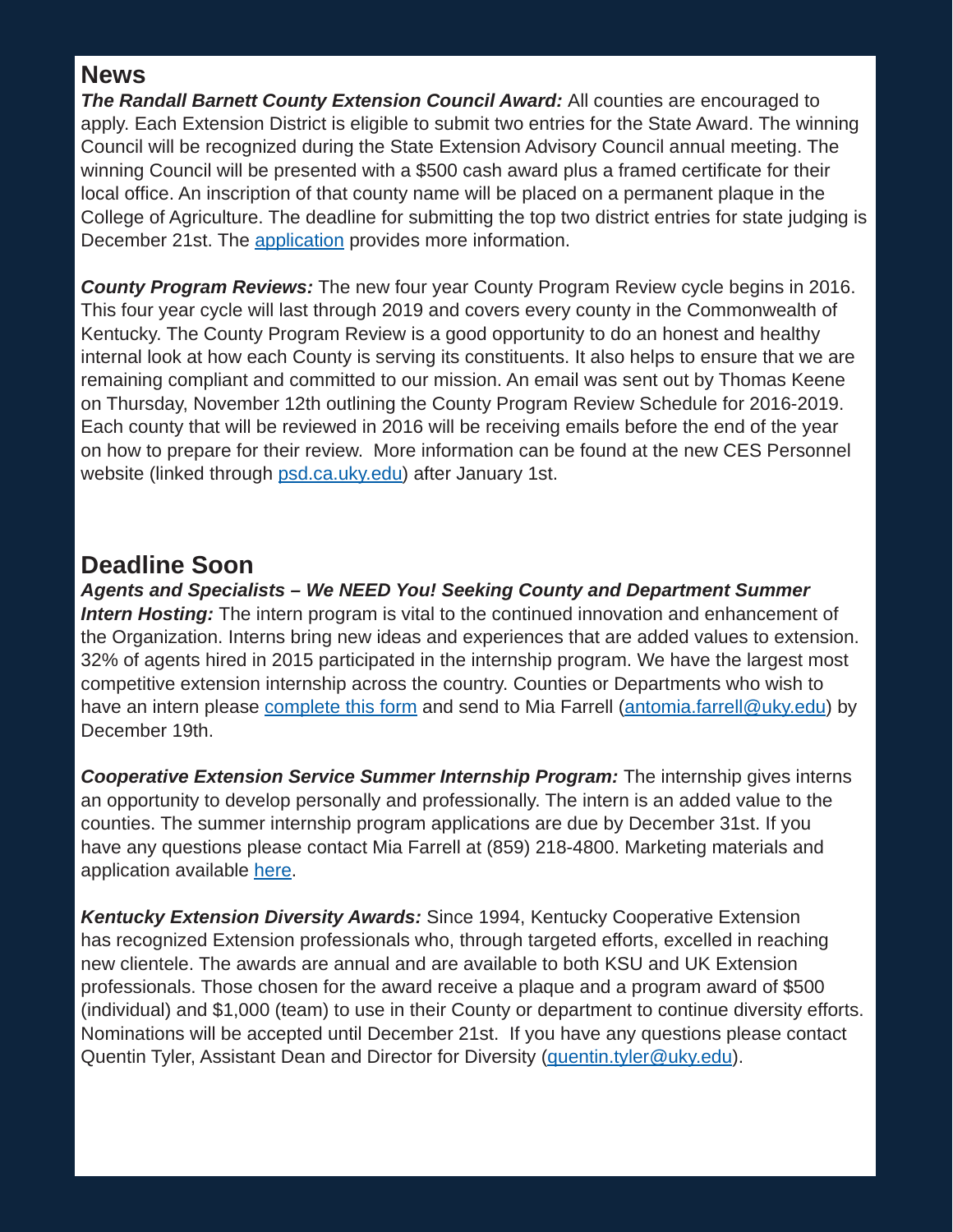#### **News**

*The Randall Barnett County Extension Council Award:* All counties are encouraged to apply. Each Extension District is eligible to submit two entries for the State Award. The winning Council will be recognized during the State Extension Advisory Council annual meeting. The winning Council will be presented with a \$500 cash award plus a framed certificate for their local office. An inscription of that county name will be placed on a permanent plaque in the College of Agriculture. The deadline for submitting the top two district entries for state judging is December 21st. The [application](http://psd.ca.uky.edu/files/randall_barnett_award_guidelines_and_application_2015.pdf) provides more information.

*County Program Reviews:* The new four year County Program Review cycle begins in 2016. This four year cycle will last through 2019 and covers every county in the Commonwealth of Kentucky. The County Program Review is a good opportunity to do an honest and healthy internal look at how each County is serving its constituents. It also helps to ensure that we are remaining compliant and committed to our mission. An email was sent out by Thomas Keene on Thursday, November 12th outlining the County Program Review Schedule for 2016-2019. Each county that will be reviewed in 2016 will be receiving emails before the end of the year on how to prepare for their review. More information can be found at the new CES Personnel website (linked through [psd.ca.uky.edu\)](psd.ca.uky.edu) after January 1st.

#### **Deadline Soon**

*Agents and Specialists – We NEED You! Seeking County and Department Summer Intern Hosting:* The intern program is vital to the continued innovation and enhancement of the Organization. Interns bring new ideas and experiences that are added values to extension. 32% of agents hired in 2015 participated in the internship program. We have the largest most competitive extension internship across the country. Counties or Departments who wish to have an intern please [complete this form](http://psd.ca.uky.edu/files/county_intern_host_form_2016_new.pdf) and send to Mia Farrell [\(antomia.farrell@uky.edu\)](mailto:antomia.farrell@uky.edu) by December 19th.

*Cooperative Extension Service Summer Internship Program:* The internship gives interns an opportunity to develop personally and professionally. The intern is an added value to the counties. The summer internship program applications are due by December 31st. If you have any questions please contact Mia Farrell at (859) 218-4800. Marketing materials and application available [here](https://extension-jobs.ca.uky.edu/summer-intern-application).

*Kentucky Extension Diversity Awards:* Since 1994, Kentucky Cooperative Extension has recognized Extension professionals who, through targeted efforts, excelled in reaching new clientele. The awards are annual and are available to both KSU and UK Extension professionals. Those chosen for the award receive a plaque and a program award of \$500 (individual) and \$1,000 (team) to use in their County or department to continue diversity efforts. Nominations will be accepted until December 21st. If you have any questions please contact Quentin Tyler, Assistant Dean and Director for Diversity [\(quentin.tyler@uky.edu\)](mailto:quentin.tyler@uky.edu).